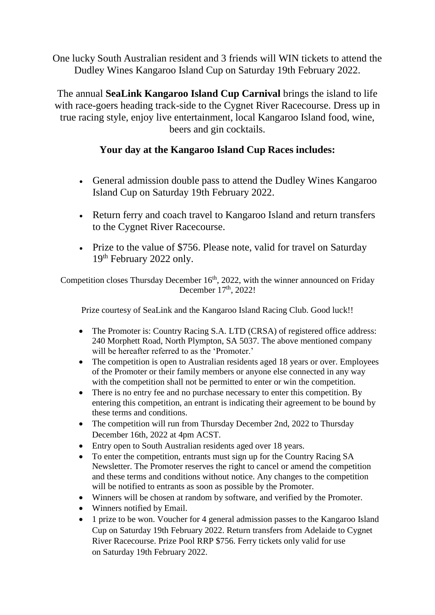One lucky South Australian resident and 3 friends will WIN tickets to attend the Dudley Wines Kangaroo Island Cup on Saturday 19th February 2022.

The annual **SeaLink Kangaroo Island Cup Carnival** brings the island to life with race-goers heading track-side to the Cygnet River Racecourse. Dress up in true racing style, enjoy live entertainment, local Kangaroo Island food, wine, beers and gin cocktails.

## **Your day at the Kangaroo Island Cup Races includes:**

- General admission double pass to attend the Dudley Wines Kangaroo Island Cup on Saturday 19th February 2022.
- Return ferry and coach travel to Kangaroo Island and return transfers to the Cygnet River Racecourse.
- Prize to the value of \$756. Please note, valid for travel on Saturday 19<sup>th</sup> February 2022 only.

Competition closes Thursday December 16<sup>th</sup>, 2022, with the winner announced on Friday December  $17<sup>th</sup>$ , 2022!

Prize courtesy of SeaLink and the Kangaroo Island Racing Club. Good luck!!

- The Promoter is: Country Racing S.A. LTD (CRSA) of registered office address: 240 Morphett Road, North Plympton, SA 5037. The above mentioned company will be hereafter referred to as the 'Promoter.'
- The competition is open to Australian residents aged 18 years or over. Employees of the Promoter or their family members or anyone else connected in any way with the competition shall not be permitted to enter or win the competition.
- There is no entry fee and no purchase necessary to enter this competition. By entering this competition, an entrant is indicating their agreement to be bound by these terms and conditions.
- The competition will run from Thursday December 2nd, 2022 to Thursday December 16th, 2022 at 4pm ACST.
- Entry open to South Australian residents aged over 18 years.
- To enter the competition, entrants must sign up for the Country Racing SA Newsletter. The Promoter reserves the right to cancel or amend the competition and these terms and conditions without notice. Any changes to the competition will be notified to entrants as soon as possible by the Promoter.
- Winners will be chosen at random by software, and verified by the Promoter.
- Winners notified by Email.
- 1 prize to be won. Voucher for 4 general admission passes to the Kangaroo Island Cup on Saturday 19th February 2022. Return transfers from Adelaide to Cygnet River Racecourse. Prize Pool RRP \$756. Ferry tickets only valid for use on Saturday 19th February 2022.